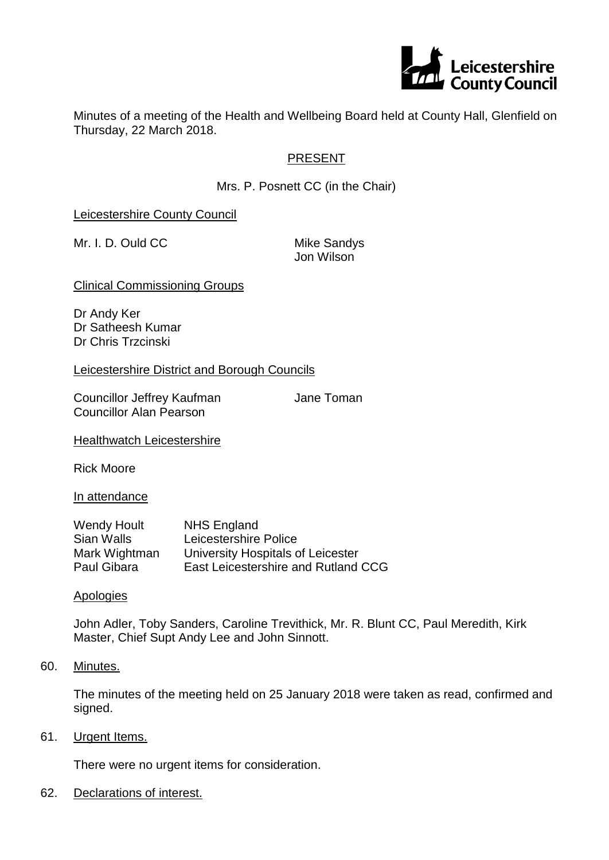

Minutes of a meeting of the Health and Wellbeing Board held at County Hall, Glenfield on Thursday, 22 March 2018.

# PRESENT

Mrs. P. Posnett CC (in the Chair)

Leicestershire County Council

Mr. I. D. Ould CC Mike Sandys

Jon Wilson

Clinical Commissioning Groups

Dr Andy Ker Dr Satheesh Kumar Dr Chris Trzcinski

Leicestershire District and Borough Councils

Councillor Jeffrey Kaufman **Jane Toman** Councillor Alan Pearson

**Healthwatch Leicestershire** 

Rick Moore

In attendance

| <b>Wendy Hoult</b> | <b>NHS England</b>                  |
|--------------------|-------------------------------------|
| Sian Walls         | Leicestershire Police               |
| Mark Wightman      | University Hospitals of Leicester   |
| Paul Gibara        | East Leicestershire and Rutland CCG |

**Apologies** 

John Adler, Toby Sanders, Caroline Trevithick, Mr. R. Blunt CC, Paul Meredith, Kirk Master, Chief Supt Andy Lee and John Sinnott.

60. Minutes.

The minutes of the meeting held on 25 January 2018 were taken as read, confirmed and signed.

61. Urgent Items.

There were no urgent items for consideration.

62. Declarations of interest.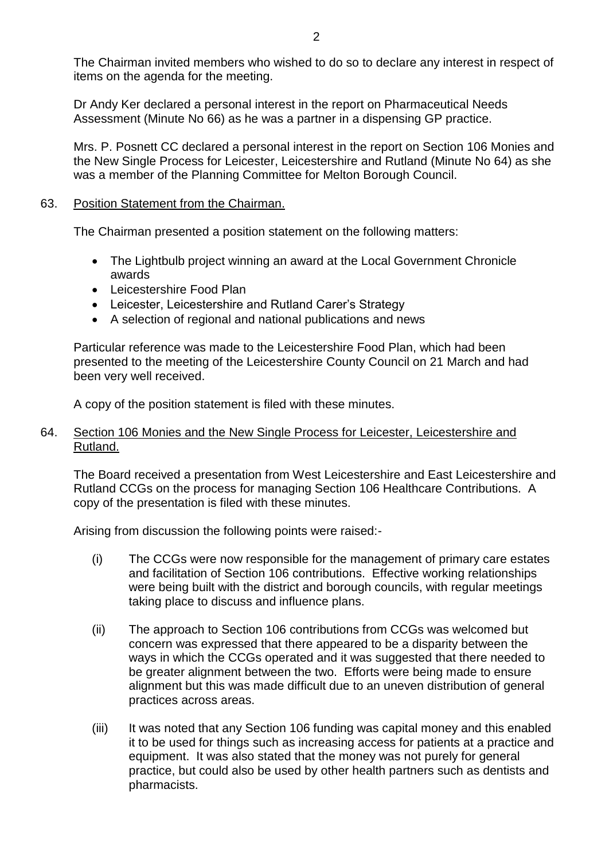The Chairman invited members who wished to do so to declare any interest in respect of items on the agenda for the meeting.

Dr Andy Ker declared a personal interest in the report on Pharmaceutical Needs Assessment (Minute No 66) as he was a partner in a dispensing GP practice.

Mrs. P. Posnett CC declared a personal interest in the report on Section 106 Monies and the New Single Process for Leicester, Leicestershire and Rutland (Minute No 64) as she was a member of the Planning Committee for Melton Borough Council.

# 63. Position Statement from the Chairman.

The Chairman presented a position statement on the following matters:

- The Lightbulb project winning an award at the Local Government Chronicle awards
- Leicestershire Food Plan
- Leicester, Leicestershire and Rutland Carer's Strategy
- A selection of regional and national publications and news

Particular reference was made to the Leicestershire Food Plan, which had been presented to the meeting of the Leicestershire County Council on 21 March and had been very well received.

A copy of the position statement is filed with these minutes.

### 64. Section 106 Monies and the New Single Process for Leicester, Leicestershire and Rutland.

The Board received a presentation from West Leicestershire and East Leicestershire and Rutland CCGs on the process for managing Section 106 Healthcare Contributions. A copy of the presentation is filed with these minutes.

Arising from discussion the following points were raised:-

- (i) The CCGs were now responsible for the management of primary care estates and facilitation of Section 106 contributions. Effective working relationships were being built with the district and borough councils, with regular meetings taking place to discuss and influence plans.
- (ii) The approach to Section 106 contributions from CCGs was welcomed but concern was expressed that there appeared to be a disparity between the ways in which the CCGs operated and it was suggested that there needed to be greater alignment between the two. Efforts were being made to ensure alignment but this was made difficult due to an uneven distribution of general practices across areas.
- (iii) It was noted that any Section 106 funding was capital money and this enabled it to be used for things such as increasing access for patients at a practice and equipment. It was also stated that the money was not purely for general practice, but could also be used by other health partners such as dentists and pharmacists.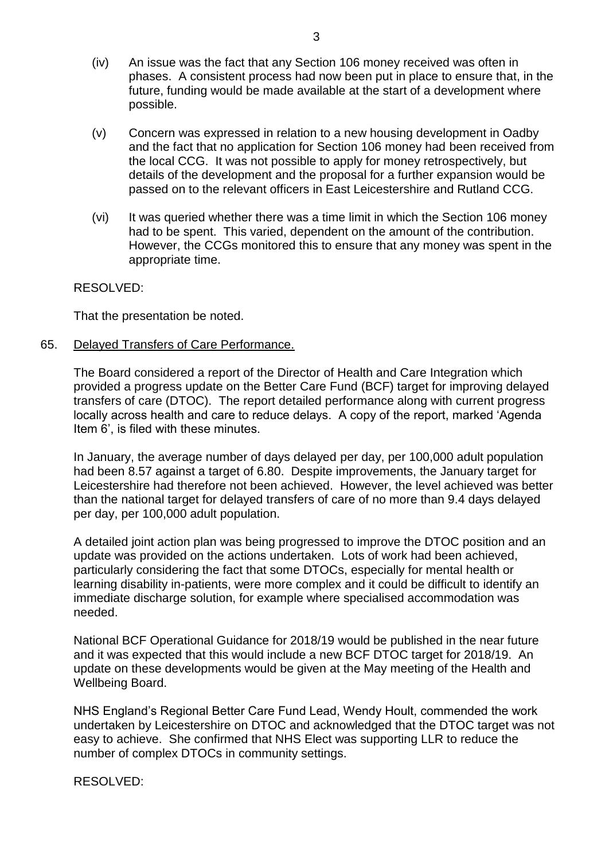- (iv) An issue was the fact that any Section 106 money received was often in phases. A consistent process had now been put in place to ensure that, in the future, funding would be made available at the start of a development where possible.
- (v) Concern was expressed in relation to a new housing development in Oadby and the fact that no application for Section 106 money had been received from the local CCG. It was not possible to apply for money retrospectively, but details of the development and the proposal for a further expansion would be passed on to the relevant officers in East Leicestershire and Rutland CCG.
- (vi) It was queried whether there was a time limit in which the Section 106 money had to be spent. This varied, dependent on the amount of the contribution. However, the CCGs monitored this to ensure that any money was spent in the appropriate time.

### RESOLVED:

That the presentation be noted.

65. Delayed Transfers of Care Performance.

The Board considered a report of the Director of Health and Care Integration which provided a progress update on the Better Care Fund (BCF) target for improving delayed transfers of care (DTOC). The report detailed performance along with current progress locally across health and care to reduce delays. A copy of the report, marked 'Agenda Item 6', is filed with these minutes.

In January, the average number of days delayed per day, per 100,000 adult population had been 8.57 against a target of 6.80. Despite improvements, the January target for Leicestershire had therefore not been achieved. However, the level achieved was better than the national target for delayed transfers of care of no more than 9.4 days delayed per day, per 100,000 adult population.

A detailed joint action plan was being progressed to improve the DTOC position and an update was provided on the actions undertaken. Lots of work had been achieved, particularly considering the fact that some DTOCs, especially for mental health or learning disability in-patients, were more complex and it could be difficult to identify an immediate discharge solution, for example where specialised accommodation was needed.

National BCF Operational Guidance for 2018/19 would be published in the near future and it was expected that this would include a new BCF DTOC target for 2018/19. An update on these developments would be given at the May meeting of the Health and Wellbeing Board.

NHS England's Regional Better Care Fund Lead, Wendy Hoult, commended the work undertaken by Leicestershire on DTOC and acknowledged that the DTOC target was not easy to achieve. She confirmed that NHS Elect was supporting LLR to reduce the number of complex DTOCs in community settings.

RESOLVED: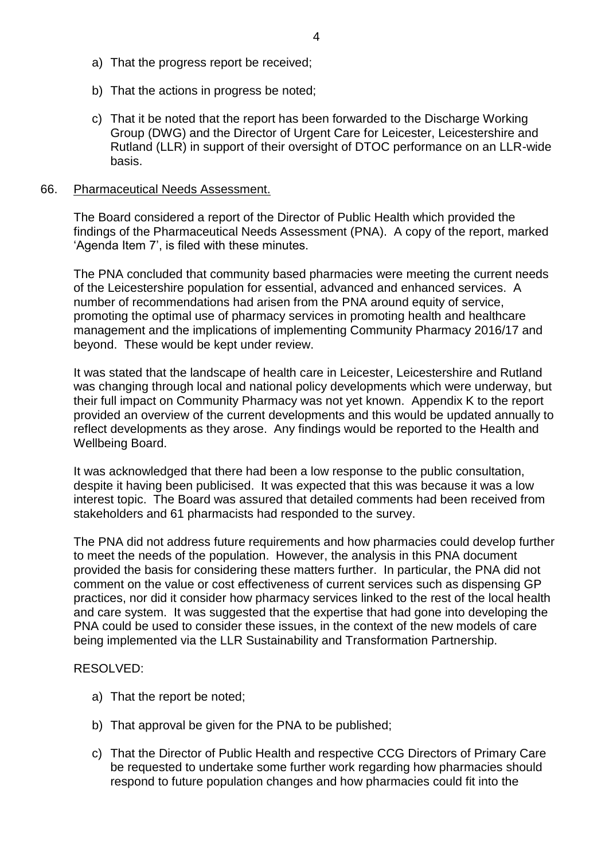- a) That the progress report be received;
- b) That the actions in progress be noted;
- c) That it be noted that the report has been forwarded to the Discharge Working Group (DWG) and the Director of Urgent Care for Leicester, Leicestershire and Rutland (LLR) in support of their oversight of DTOC performance on an LLR-wide basis.

#### 66. Pharmaceutical Needs Assessment.

The Board considered a report of the Director of Public Health which provided the findings of the Pharmaceutical Needs Assessment (PNA). A copy of the report, marked 'Agenda Item 7', is filed with these minutes.

The PNA concluded that community based pharmacies were meeting the current needs of the Leicestershire population for essential, advanced and enhanced services. A number of recommendations had arisen from the PNA around equity of service, promoting the optimal use of pharmacy services in promoting health and healthcare management and the implications of implementing Community Pharmacy 2016/17 and beyond. These would be kept under review.

It was stated that the landscape of health care in Leicester, Leicestershire and Rutland was changing through local and national policy developments which were underway, but their full impact on Community Pharmacy was not yet known. Appendix K to the report provided an overview of the current developments and this would be updated annually to reflect developments as they arose. Any findings would be reported to the Health and Wellbeing Board.

It was acknowledged that there had been a low response to the public consultation, despite it having been publicised. It was expected that this was because it was a low interest topic. The Board was assured that detailed comments had been received from stakeholders and 61 pharmacists had responded to the survey.

The PNA did not address future requirements and how pharmacies could develop further to meet the needs of the population. However, the analysis in this PNA document provided the basis for considering these matters further. In particular, the PNA did not comment on the value or cost effectiveness of current services such as dispensing GP practices, nor did it consider how pharmacy services linked to the rest of the local health and care system. It was suggested that the expertise that had gone into developing the PNA could be used to consider these issues, in the context of the new models of care being implemented via the LLR Sustainability and Transformation Partnership.

### RESOLVED:

- a) That the report be noted;
- b) That approval be given for the PNA to be published;
- c) That the Director of Public Health and respective CCG Directors of Primary Care be requested to undertake some further work regarding how pharmacies should respond to future population changes and how pharmacies could fit into the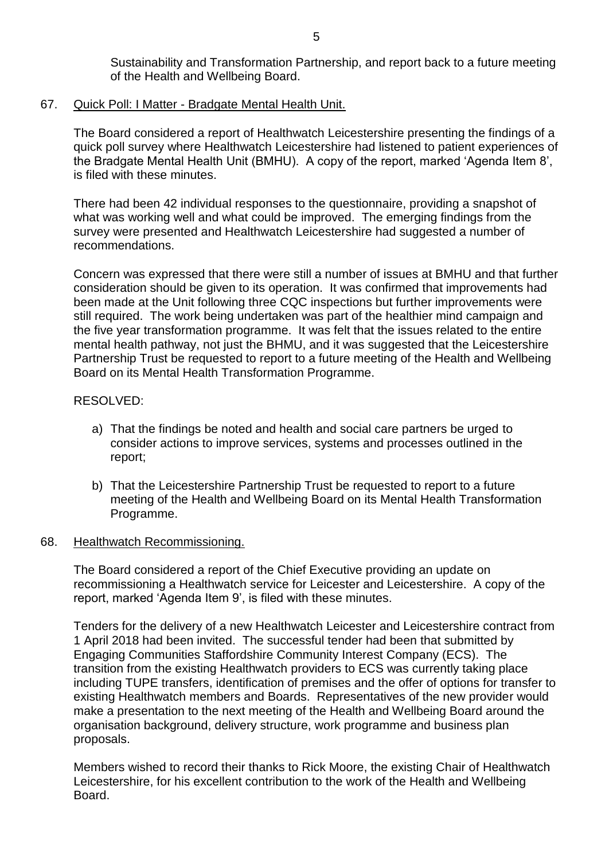Sustainability and Transformation Partnership, and report back to a future meeting of the Health and Wellbeing Board.

### 67. Quick Poll: I Matter - Bradgate Mental Health Unit.

The Board considered a report of Healthwatch Leicestershire presenting the findings of a quick poll survey where Healthwatch Leicestershire had listened to patient experiences of the Bradgate Mental Health Unit (BMHU). A copy of the report, marked 'Agenda Item 8', is filed with these minutes.

There had been 42 individual responses to the questionnaire, providing a snapshot of what was working well and what could be improved. The emerging findings from the survey were presented and Healthwatch Leicestershire had suggested a number of recommendations.

Concern was expressed that there were still a number of issues at BMHU and that further consideration should be given to its operation. It was confirmed that improvements had been made at the Unit following three CQC inspections but further improvements were still required. The work being undertaken was part of the healthier mind campaign and the five year transformation programme. It was felt that the issues related to the entire mental health pathway, not just the BHMU, and it was suggested that the Leicestershire Partnership Trust be requested to report to a future meeting of the Health and Wellbeing Board on its Mental Health Transformation Programme.

# RESOLVED:

- a) That the findings be noted and health and social care partners be urged to consider actions to improve services, systems and processes outlined in the report;
- b) That the Leicestershire Partnership Trust be requested to report to a future meeting of the Health and Wellbeing Board on its Mental Health Transformation Programme.

# 68. Healthwatch Recommissioning.

The Board considered a report of the Chief Executive providing an update on recommissioning a Healthwatch service for Leicester and Leicestershire. A copy of the report, marked 'Agenda Item 9', is filed with these minutes.

Tenders for the delivery of a new Healthwatch Leicester and Leicestershire contract from 1 April 2018 had been invited. The successful tender had been that submitted by Engaging Communities Staffordshire Community Interest Company (ECS). The transition from the existing Healthwatch providers to ECS was currently taking place including TUPE transfers, identification of premises and the offer of options for transfer to existing Healthwatch members and Boards. Representatives of the new provider would make a presentation to the next meeting of the Health and Wellbeing Board around the organisation background, delivery structure, work programme and business plan proposals.

Members wished to record their thanks to Rick Moore, the existing Chair of Healthwatch Leicestershire, for his excellent contribution to the work of the Health and Wellbeing Board.